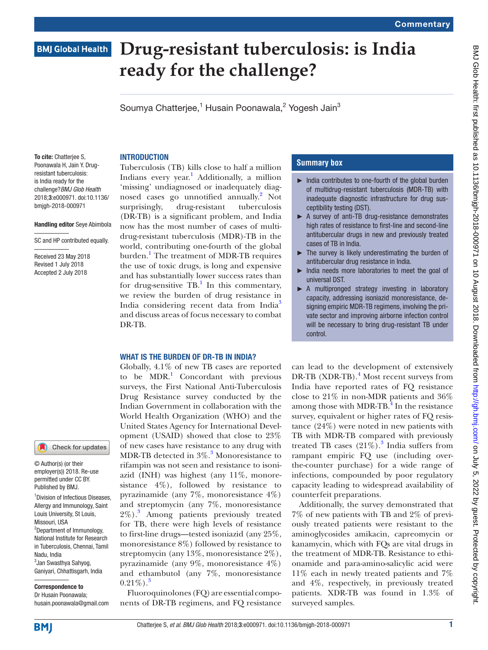# **BMJ Global Health**

# **Drug-resistant tuberculosis: is India ready for the challenge?**

Soumya Chatterjee,<sup>1</sup> Husain Poonawala,<sup>2</sup> Yogesh Jain<sup>3</sup>

To cite: Chatterjee S, Poonawala H, Jain Y. Drugresistant tuberculosis: is India ready for the challenge?*BMJ Glob Health* 2018;3:e000971. doi:10.1136/ bmjgh-2018-000971

#### Handling editor Seye Abimbola

SC and HP contributed equally.

Received 23 May 2018 Revised 1 July 2018 Accepted 2 July 2018



© Author(s) (or their employer(s)) 2018. Re-use permitted under CC BY. Published by BMJ.

1 Division of Infectious Diseases, Allergy and Immunology, Saint Louis University, St Louis, Missouri, USA <sup>2</sup>Department of Immunology,

National Institute for Research in Tuberculosis, Chennai, Tamil Nadu, India 3 Jan Swasthya Sahyog,

Ganiyari, Chhattisgarh, India

Correspondence to Dr Husain Poonawala; husain.poonawala@gmail.com **INTRODUCTION** 

Tuberculosis (TB) kills close to half a million Indians every year.<sup>[1](#page-2-0)</sup> Additionally, a million 'missing' undiagnosed or inadequately diagnosed cases go unnotified annually.<sup>2</sup> Not surprisingly, drug-resistant tuberculosis (DR-TB) is a significant problem, and India now has the most number of cases of multidrug-resistant tuberculosis (MDR)-TB in the world, contributing one-fourth of the global burden.<sup>1</sup> The treatment of MDR-TB requires the use of toxic drugs, is long and expensive and has substantially lower success rates than for drug-sensitive  $TB<sup>1</sup>$  $TB<sup>1</sup>$  $TB<sup>1</sup>$ . In this commentary, we review the burden of drug resistance in India considering recent data from India<sup>3</sup> and discuss areas of focus necessary to combat DR-TB.

#### WHAT IS THE BURDEN OF DR-TB IN INDIA?

Globally, 4.1% of new TB cases are reported to be MDR.<sup>[1](#page-2-0)</sup> Concordant with previous surveys, the First National Anti-Tuberculosis Drug Resistance survey conducted by the Indian Government in collaboration with the World Health Organization (WHO) and the United States Agency for International Development (USAID) showed that close to 23% of new cases have resistance to any drug with MDR-TB detected in  $3\%$  $3\%$ .<sup>3</sup> Monoresistance to rifampin was not seen and resistance to isoniazid (INH) was highest (any 11%, monoresistance  $4\%$ ), followed by resistance to pyrazinamide (any 7%, monoresistance 4%) and streptomycin (any 7%, monoresistance 2%).[3](#page-2-2) Among patients previously treated for TB, there were high levels of resistance to first-line drugs—tested isoniazid (any 25%, monoresistance 8%) followed by resistance to streptomycin (any 13%, monoresistance 2%), pyrazinamide (any 9%, monoresistance 4%) and ethambutol (any 7%, monoresistance  $0.21\%$ ).<sup>[3](#page-2-2)</sup>

Fluoroquinolones (FQ) are essential components of DR-TB regimens, and FQ resistance

# **Summary box**

- ► India contributes to one-fourth of the global burden of multidrug-resistant tuberculosis (MDR-TB) with inadequate diagnostic infrastructure for drug susceptibility testing (DST).
- ► A survey of anti-TB drug-resistance demonstrates high rates of resistance to first-line and second-line antitubercular drugs in new and previously treated cases of TB in India.
- ► The survey is likely underestimating the burden of antitubercular drug resistance in India.
- India needs more laboratories to meet the goal of universal DST.
- ▶ A multipronged strategy investing in laboratory capacity, addressing isoniazid monoresistance, designing empiric MDR-TB regimens, involving the private sector and improving airborne infection control will be necessary to bring drug-resistant TB under control.

can lead to the development of extensively DR-TB (XDR-TB).<sup>[4](#page-2-3)</sup> Most recent surveys from India have reported rates of FQ resistance close to 21% in non-MDR patients and 36% among those with MDR-TB.<sup>4</sup> In the resistance survey, equivalent or higher rates of FQ resistance (24%) were noted in new patients with TB with MDR-TB compared with previously treated TB cases  $(21\%)$ .<sup>[3](#page-2-2)</sup> India suffers from rampant empiric FQ use (including overthe-counter purchase) for a wide range of infections, compounded by poor regulatory capacity leading to widespread availability of counterfeit preparations.

Additionally, the survey demonstrated that 7% of new patients with TB and 2% of previously treated patients were resistant to the aminoglycosides amikacin, capreomycin or kanamycin, which with FQs are vital drugs in the treatment of MDR-TB. Resistance to ethionamide and para-amino-salicylic acid were 11% each in newly treated patients and 7% and 4%, respectively, in previously treated patients. XDR-TB was found in 1.3% of surveyed samples.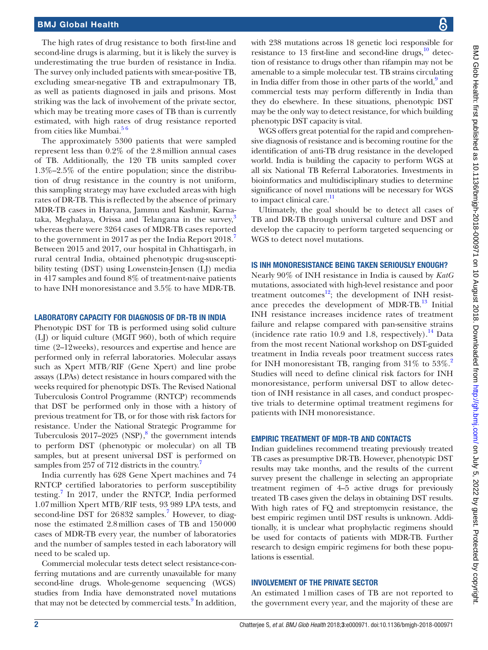The high rates of drug resistance to both first-line and second-line drugs is alarming, but it is likely the survey is underestimating the true burden of resistance in India. The survey only included patients with smear-positive TB, excluding smear-negative TB and extrapulmonary TB, as well as patients diagnosed in jails and prisons. Most striking was the lack of involvement of the private sector, which may be treating more cases of TB than is currently estimated, with high rates of drug resistance reported from cities like Mumbai.<sup>56</sup>

The approximately 5300 patients that were sampled represent less than 0.2% of the 2.8million annual cases of TB. Additionally, the 120 TB units sampled cover 1.3%–2.5% of the entire population; since the distribution of drug resistance in the country is not uniform, this sampling strategy may have excluded areas with high rates of DR-TB. This is reflected by the absence of primary MDR-TB cases in Haryana, Jammu and Kashmir, Karnataka, Meghalaya, Orissa and Telangana in the survey, $3$ whereas there were 3264 cases of MDR-TB cases reported to the government in 201[7](#page-2-5) as per the India Report 2018.<sup>7</sup> Between 2015 and 2017, our hospital in Chhattisgarh, in rural central India, obtained phenotypic drug-susceptibility testing (DST) using Lowenstein-Jensen (LJ) media in 417 samples and found 8% of treatment-naive patients to have INH monoresistance and 3.5% to have MDR-TB.

## Laboratory capacity for diagnosis of DR-TB in India

Phenotypic DST for TB is performed using solid culture (LJ) or liquid culture (MGIT 960), both of which require time (2–12weeks), resources and expertise and hence are performed only in referral laboratories. Molecular assays such as Xpert MTB/RIF (Gene Xpert) and line probe assays (LPAs) detect resistance in hours compared with the weeks required for phenotypic DSTs. The Revised National Tuberculosis Control Programme (RNTCP) recommends that DST be performed only in those with a history of previous treatment for TB, or for those with risk factors for resistance. Under the National Strategic Programme for Tuberculosis  $2017-2025$  (NSP), $8$  the government intends to perform DST (phenotypic or molecular) on all TB samples, but at present universal DST is performed on samples from 257 of 712 districts in the country.<sup>7</sup>

India currently has 628 Gene Xpert machines and 74 RNTCP certified laboratories to perform susceptibility testing.<sup>[7](#page-2-5)</sup> In 2017, under the RNTCP, India performed 1.07million Xpert MTB/RIF tests, 93 989 LPA tests, and second-line DST for 26832 samples.<sup>[7](#page-2-5)</sup> However, to diagnose the estimated 2.8million cases of TB and 150000 cases of MDR-TB every year, the number of laboratories and the number of samples tested in each laboratory will need to be scaled up.

Commercial molecular tests detect select resistance-conferring mutations and are currently unavailable for many second-line drugs. Whole-genome sequencing (WGS) studies from India have demonstrated novel mutations that may not be detected by commercial tests.<sup>9</sup> In addition, with 238 mutations across 18 genetic loci responsible for resistance to 13 first-line and second-line drugs, $^{10}$  detection of resistance to drugs other than rifampin may not be amenable to a simple molecular test. TB strains circulating in India differ from those in other parts of the world,<sup>9</sup> and commercial tests may perform differently in India than they do elsewhere. In these situations, phenotypic DST may be the only way to detect resistance, for which building phenotypic DST capacity is vital.

WGS offers great potential for the rapid and comprehensive diagnosis of resistance and is becoming routine for the identification of anti-TB drug resistance in the developed world. India is building the capacity to perform WGS at all six National TB Referral Laboratories. Investments in bioinformatics and multidisciplinary studies to determine significance of novel mutations will be necessary for WGS to impact clinical care.<sup>11</sup>

Ultimately, the goal should be to detect all cases of TB and DR-TB through universal culture and DST and develop the capacity to perform targeted sequencing or WGS to detect novel mutations.

#### Is INH monoresistance being taken seriously enough?

Nearly 90% of INH resistance in India is caused by *KatG* mutations, associated with high-level resistance and poor treatment outcomes $^{12}$  $^{12}$  $^{12}$ ; the development of INH resistance precedes the development of MDR-TB.<sup>13</sup> Initial INH resistance increases incidence rates of treatment failure and relapse compared with pan-sensitive strains (incidence rate ratio 10.9 and 1.8, respectively).<sup>14</sup> Data from the most recent National workshop on DST-guided treatment in India reveals poor treatment success rates for INH monoresistant TB, ranging from  $31\%$  to  $53\%$ . Studies will need to define clinical risk factors for INH monoresistance, perform universal DST to allow detection of INH resistance in all cases, and conduct prospective trials to determine optimal treatment regimens for patients with INH monoresistance.

#### Empiric treatment of MDR-TB and contacts

Indian guidelines recommend treating previously treated TB cases as presumptive DR-TB. However, phenotypic DST results may take months, and the results of the current survey present the challenge in selecting an appropriate treatment regimen of 4–5 active drugs for previously treated TB cases given the delays in obtaining DST results. With high rates of FQ and streptomycin resistance, the best empiric regimen until DST results is unknown. Additionally, it is unclear what prophylactic regimens should be used for contacts of patients with MDR-TB. Further research to design empiric regimens for both these populations is essential.

#### Involvement of the private sector

An estimated 1million cases of TB are not reported to the government every year, and the majority of these are